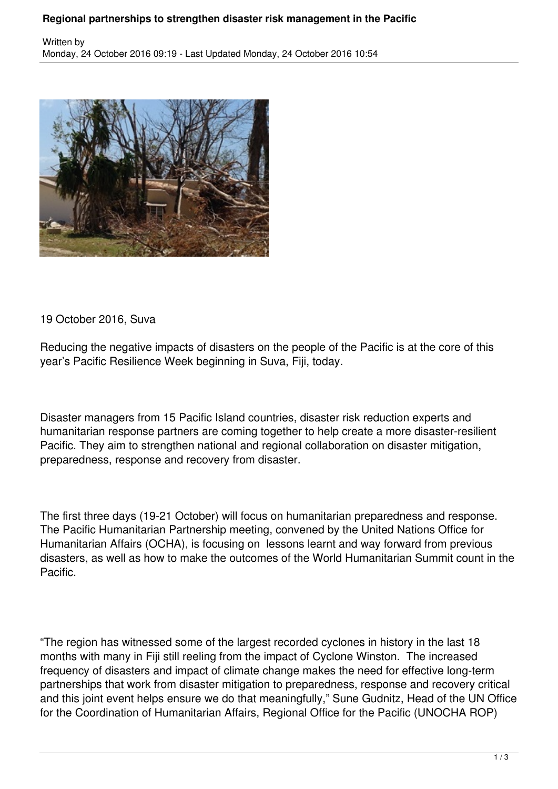## **Regional partnerships to strengthen disaster risk management in the Pacific**



19 October 2016, Suva

Reducing the negative impacts of disasters on the people of the Pacific is at the core of this year's Pacific Resilience Week beginning in Suva, Fiji, today.

Disaster managers from 15 Pacific Island countries, disaster risk reduction experts and humanitarian response partners are coming together to help create a more disaster-resilient Pacific. They aim to strengthen national and regional collaboration on disaster mitigation, preparedness, response and recovery from disaster.

The first three days (19-21 October) will focus on humanitarian preparedness and response. The Pacific Humanitarian Partnership meeting, convened by the United Nations Office for Humanitarian Affairs (OCHA), is focusing on lessons learnt and way forward from previous disasters, as well as how to make the outcomes of the World Humanitarian Summit count in the Pacific.

"The region has witnessed some of the largest recorded cyclones in history in the last 18 months with many in Fiji still reeling from the impact of Cyclone Winston. The increased frequency of disasters and impact of climate change makes the need for effective long-term partnerships that work from disaster mitigation to preparedness, response and recovery critical and this joint event helps ensure we do that meaningfully," Sune Gudnitz, Head of the UN Office for the Coordination of Humanitarian Affairs, Regional Office for the Pacific (UNOCHA ROP)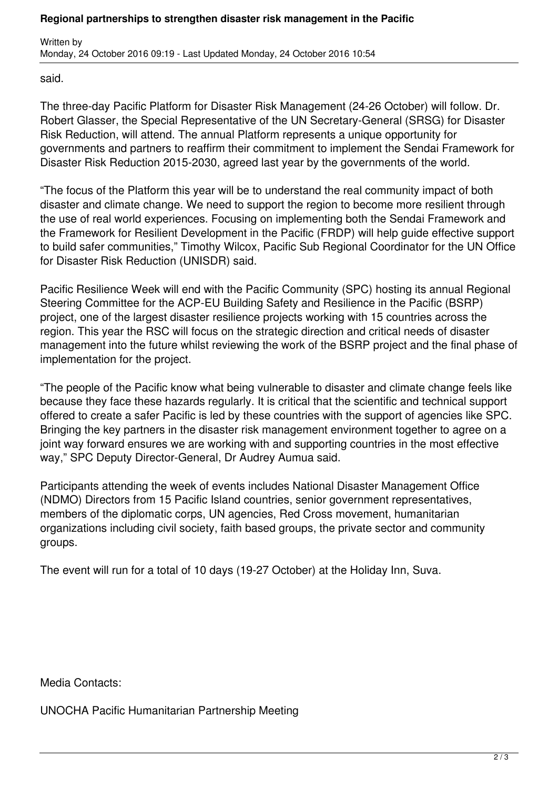said.

The three-day Pacific Platform for Disaster Risk Management (24-26 October) will follow. Dr. Robert Glasser, the Special Representative of the UN Secretary-General (SRSG) for Disaster Risk Reduction, will attend. The annual Platform represents a unique opportunity for governments and partners to reaffirm their commitment to implement the Sendai Framework for Disaster Risk Reduction 2015-2030, agreed last year by the governments of the world.

"The focus of the Platform this year will be to understand the real community impact of both disaster and climate change. We need to support the region to become more resilient through the use of real world experiences. Focusing on implementing both the Sendai Framework and the Framework for Resilient Development in the Pacific (FRDP) will help guide effective support to build safer communities," Timothy Wilcox, Pacific Sub Regional Coordinator for the UN Office for Disaster Risk Reduction (UNISDR) said.

Pacific Resilience Week will end with the Pacific Community (SPC) hosting its annual Regional Steering Committee for the ACP-EU Building Safety and Resilience in the Pacific (BSRP) project, one of the largest disaster resilience projects working with 15 countries across the region. This year the RSC will focus on the strategic direction and critical needs of disaster management into the future whilst reviewing the work of the BSRP project and the final phase of implementation for the project.

"The people of the Pacific know what being vulnerable to disaster and climate change feels like because they face these hazards regularly. It is critical that the scientific and technical support offered to create a safer Pacific is led by these countries with the support of agencies like SPC. Bringing the key partners in the disaster risk management environment together to agree on a joint way forward ensures we are working with and supporting countries in the most effective way," SPC Deputy Director-General, Dr Audrey Aumua said.

Participants attending the week of events includes National Disaster Management Office (NDMO) Directors from 15 Pacific Island countries, senior government representatives, members of the diplomatic corps, UN agencies, Red Cross movement, humanitarian organizations including civil society, faith based groups, the private sector and community groups.

The event will run for a total of 10 days (19-27 October) at the Holiday Inn, Suva.

Media Contacts:

UNOCHA Pacific Humanitarian Partnership Meeting